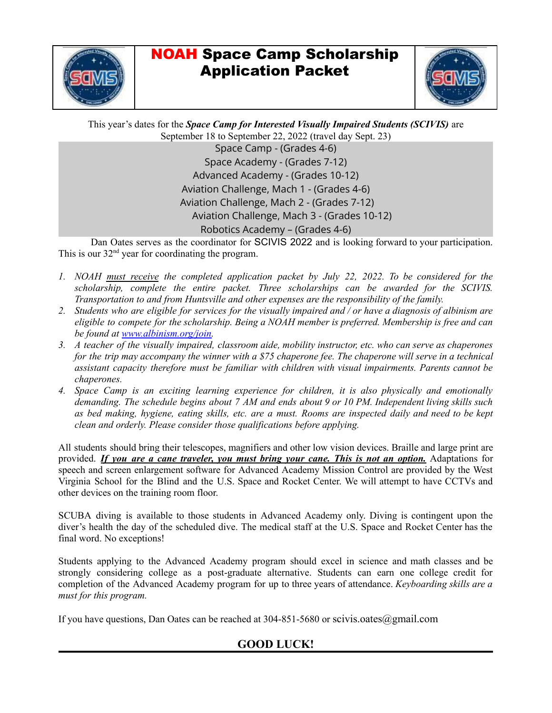

### NOAH Space Camp Scholarship Application Packet

This year's dates for the *Space Camp for Interested Visually Impaired Students (SCIVIS)* are September 18 to September 22, 2022 (travel day Sept. 23) Space Camp - (Grades 4-6) Space Academy - (Grades 7-12) Advanced Academy - (Grades 10-12) Aviation Challenge, Mach 1 - (Grades 4-6) Aviation Challenge, Mach 2 - (Grades 7-12) Aviation Challenge, Mach 3 - (Grades 10-12) Robotics Academy – (Grades 4-6)

Dan Oates serves as the coordinator for SCIVIS 2022 and is looking forward to your participation. This is our  $32<sup>nd</sup>$  year for coordinating the program.

- *1. NOAH must receive the completed application packet by July 22, 2022. To be considered for the scholarship, complete the entire packet. Three scholarships can be awarded for the SCIVIS. Transportation to and from Huntsville and other expenses are the responsibility of the family.*
- 2. Students who are eligible for services for the visually impaired and / or have a diagnosis of albinism are *eligible to compete for the scholarship. Being a NOAH member is preferred. Membership is free and can be found at www.albinism.org/join.*
- 3. A teacher of the visually impaired, classroom aide, mobility instructor, etc. who can serve as chaperones for the trip may accompany the winner with a \$75 chaperone fee. The chaperone will serve in a technical *assistant capacity therefore must be familiar with children with visual impairments. Parents cannot be chaperones.*
- *4. Space Camp is an exciting learning experience for children, it is also physically and emotionally* demanding. The schedule begins about 7 AM and ends about 9 or 10 PM. Independent living skills such as bed making, hygiene, eating skills, etc. are a must. Rooms are inspected daily and need to be kept *clean and orderly. Please consider those qualifications before applying.*

All students should bring their telescopes, magnifiers and other low vision devices. Braille and large print are provided. *If you are a cane traveler, you must bring your cane. This is not an option.* Adaptations for speech and screen enlargement software for Advanced Academy Mission Control are provided by the West Virginia School for the Blind and the U.S. Space and Rocket Center. We will attempt to have CCTVs and other devices on the training room floor.

SCUBA diving is available to those students in Advanced Academy only. Diving is contingent upon the diver's health the day of the scheduled dive. The medical staff at the U.S. Space and Rocket Center has the final word. No exceptions!

Students applying to the Advanced Academy program should excel in science and math classes and be strongly considering college as a post-graduate alternative. Students can earn one college credit for completion of the Advanced Academy program for up to three years of attendance. *Keyboarding skills are a must for this program.*

If you have questions, Dan Oates can be reached at 304-851-5680 or scivis.oates@gmail.com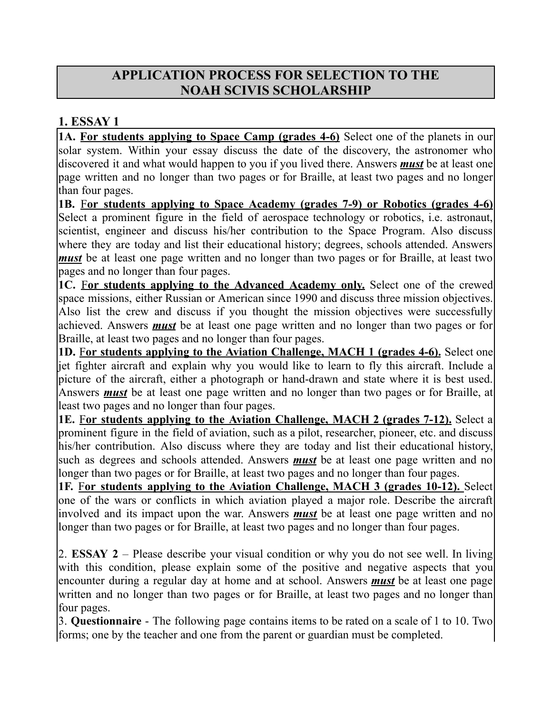### **APPLICATION PROCESS FOR SELECTION TO THE NOAH SCIVIS SCHOLARSHIP**

#### **1. ESSAY 1**

**1A. For students applying to Space Camp (grades 4-6)** Select one of the planets in our solar system. Within your essay discuss the date of the discovery, the astronomer who discovered it and what would happen to you if you lived there. Answers *must* be at least one page written and no longer than two pages or for Braille, at least two pages and no longer than four pages.

**1B.** F**or students applying to Space Academy (grades 7-9) or Robotics (grades 4-6)** Select a prominent figure in the field of aerospace technology or robotics, i.e. astronaut, scientist, engineer and discuss his/her contribution to the Space Program. Also discuss where they are today and list their educational history; degrees, schools attended. Answers *must* be at least one page written and no longer than two pages or for Braille, at least two pages and no longer than four pages.

**1C.** F**or students applying to the Advanced Academy only.** Select one of the crewed space missions, either Russian or American since 1990 and discuss three mission objectives. Also list the crew and discuss if you thought the mission objectives were successfully achieved. Answers *must* be at least one page written and no longer than two pages or for Braille, at least two pages and no longer than four pages.

**1D.** F**or students applying to the Aviation Challenge, MACH 1 (grades 4-6).** Select one jet fighter aircraft and explain why you would like to learn to fly this aircraft. Include a picture of the aircraft, either a photograph or hand-drawn and state where it is best used. Answers *must* be at least one page written and no longer than two pages or for Braille, at least two pages and no longer than four pages.

**1E.** F**or students applying to the Aviation Challenge, MACH 2 (grades 7-12).** Select a prominent figure in the field of aviation, such as a pilot, researcher, pioneer, etc. and discuss his/her contribution. Also discuss where they are today and list their educational history, such as degrees and schools attended. Answers *must* be at least one page written and no longer than two pages or for Braille, at least two pages and no longer than four pages.

**1F.** F**or students applying to the Aviation Challenge, MACH 3 (grades 10-12).** Select one of the wars or conflicts in which aviation played a major role. Describe the aircraft involved and its impact upon the war. Answers *must* be at least one page written and no longer than two pages or for Braille, at least two pages and no longer than four pages.

2. **ESSAY 2** – Please describe your visual condition or why you do not see well. In living with this condition, please explain some of the positive and negative aspects that you encounter during a regular day at home and at school. Answers *must* be at least one page written and no longer than two pages or for Braille, at least two pages and no longer than four pages.

3. **Questionnaire** - The following page contains items to be rated on a scale of 1 to 10. Two forms; one by the teacher and one from the parent or guardian must be completed.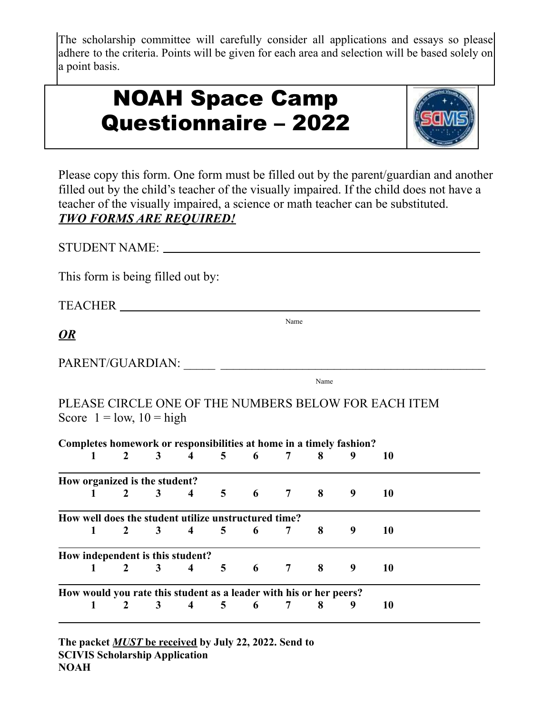The scholarship committee will carefully consider all applications and essays so please adhere to the criteria. Points will be given for each area and selection will be based solely on a point basis.

| <b>NOAH Space Camp</b>      |  |
|-----------------------------|--|
| <b>Questionnaire - 2022</b> |  |



Please copy this form. One form must be filled out by the parent/guardian and another filled out by the child's teacher of the visually impaired. If the child does not have a teacher of the visually impaired, a science or math teacher can be substituted. *TWO FORMS ARE REQUIRED!*

STUDENT NAME:

This form is being filled out by:

TEACHER

*OR*

| PARENT/GUARDIAN: |  |
|------------------|--|
|                  |  |

Name

Name

PLEASE CIRCLE ONE OF THE NUMBERS BELOW FOR EACH ITEM Score  $1 =$ low,  $10 =$ high

|   |                                                      |                |                         |                |                         |                                                                    |   | Completes homework or responsibilities at home in a timely fashion? |    |  |
|---|------------------------------------------------------|----------------|-------------------------|----------------|-------------------------|--------------------------------------------------------------------|---|---------------------------------------------------------------------|----|--|
|   | $\mathbf{2}$                                         | 3 <sup>1</sup> | $\overline{\mathbf{4}}$ | 5 <sup>5</sup> | $\overline{\mathbf{6}}$ | 7 <sup>1</sup>                                                     | 8 | 9                                                                   | 10 |  |
|   | How organized is the student?                        |                |                         |                |                         |                                                                    |   |                                                                     |    |  |
|   | $\mathbf{2}$                                         | 3 <sup>1</sup> | $\overline{\mathbf{4}}$ | 5 <sup>5</sup> | $6\overline{6}$         | 7 8                                                                |   | 9                                                                   | 10 |  |
|   | How well does the student utilize unstructured time? |                |                         |                |                         |                                                                    |   |                                                                     |    |  |
|   | 2                                                    | 3 <sup>1</sup> | 4                       | 5 <sup>5</sup> | 6                       |                                                                    | 8 | 9                                                                   | 10 |  |
|   | How independent is this student?                     |                |                         |                |                         |                                                                    |   |                                                                     |    |  |
| 1 | $\mathbf{2}$                                         | 3 <sup>1</sup> | 4                       | 5 <sup>5</sup> | 6                       | $7\degree$                                                         | 8 | 9                                                                   | 10 |  |
|   |                                                      |                |                         |                |                         | How would you rate this student as a leader with his or her peers? |   |                                                                     |    |  |
| 1 | 2                                                    | 3              | $\overline{\mathbf{4}}$ | 5 <sup>5</sup> | - 6                     |                                                                    | 8 | 9                                                                   | 10 |  |

**The packet** *MUST* **be received by July 22, 2022. Send to SCIVIS Scholarship Application NOAH**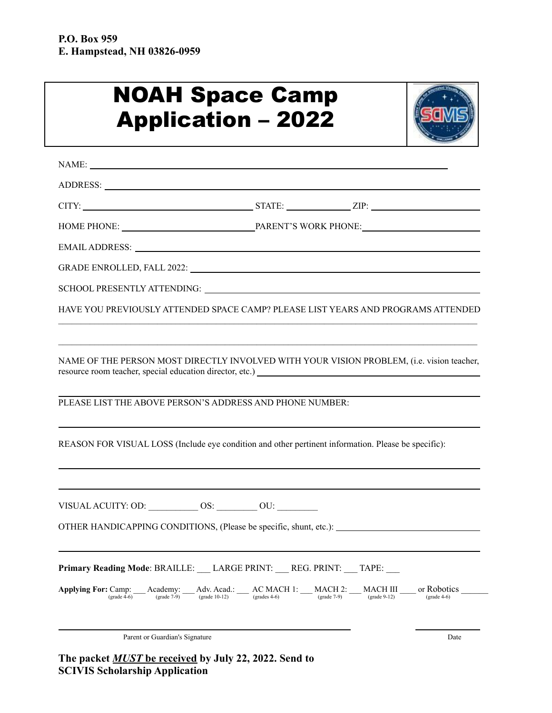## NOAH Space Camp Application – 2022



| EMAIL ADDRESS: North and the second state of the second state of the second state of the second state of the second state of the second state of the second state of the second state of the second state of the second state                                                                                                                                                             |  |      |
|-------------------------------------------------------------------------------------------------------------------------------------------------------------------------------------------------------------------------------------------------------------------------------------------------------------------------------------------------------------------------------------------|--|------|
|                                                                                                                                                                                                                                                                                                                                                                                           |  |      |
|                                                                                                                                                                                                                                                                                                                                                                                           |  |      |
| HAVE YOU PREVIOUSLY ATTENDED SPACE CAMP? PLEASE LIST YEARS AND PROGRAMS ATTENDED                                                                                                                                                                                                                                                                                                          |  |      |
|                                                                                                                                                                                                                                                                                                                                                                                           |  |      |
| NAME OF THE PERSON MOST DIRECTLY INVOLVED WITH YOUR VISION PROBLEM, (i.e. vision teacher,                                                                                                                                                                                                                                                                                                 |  |      |
| PLEASE LIST THE ABOVE PERSON'S ADDRESS AND PHONE NUMBER:                                                                                                                                                                                                                                                                                                                                  |  |      |
| REASON FOR VISUAL LOSS (Include eye condition and other pertinent information. Please be specific):                                                                                                                                                                                                                                                                                       |  |      |
|                                                                                                                                                                                                                                                                                                                                                                                           |  |      |
| VISUAL ACUITY: OD: ____________ OS: _________ OU: ________                                                                                                                                                                                                                                                                                                                                |  |      |
| OTHER HANDICAPPING CONDITIONS, (Please be specific, shunt, etc.):                                                                                                                                                                                                                                                                                                                         |  |      |
| Primary Reading Mode: BRAILLE: LARGE PRINT: REG. PRINT: TAPE:                                                                                                                                                                                                                                                                                                                             |  |      |
| Applying For: Camp: $\text{Academy:}\n\text{Academy:}\n\text{Acad} = \text{Adv. Acad.}\n\text{Acad} = \text{AC MACH 1:}\n\text{MACH 2:}\n\text{MACH III}\n\text{MACH III}\n\text{or Robotics}\n\text{grade 4-6}\n\text{grade 4-6} = \text{C.}\n\text{C.}\n\text{C.}\n\text{C.}\n\text{C.}\n\text{C.}\n\text{C.}\n\text{C.}\n\text{C.}\n\text{C.}\n\text{C.}\n\text{C.}\n\text{C.}\n\text$ |  |      |
| Parent or Guardian's Signature                                                                                                                                                                                                                                                                                                                                                            |  | Date |